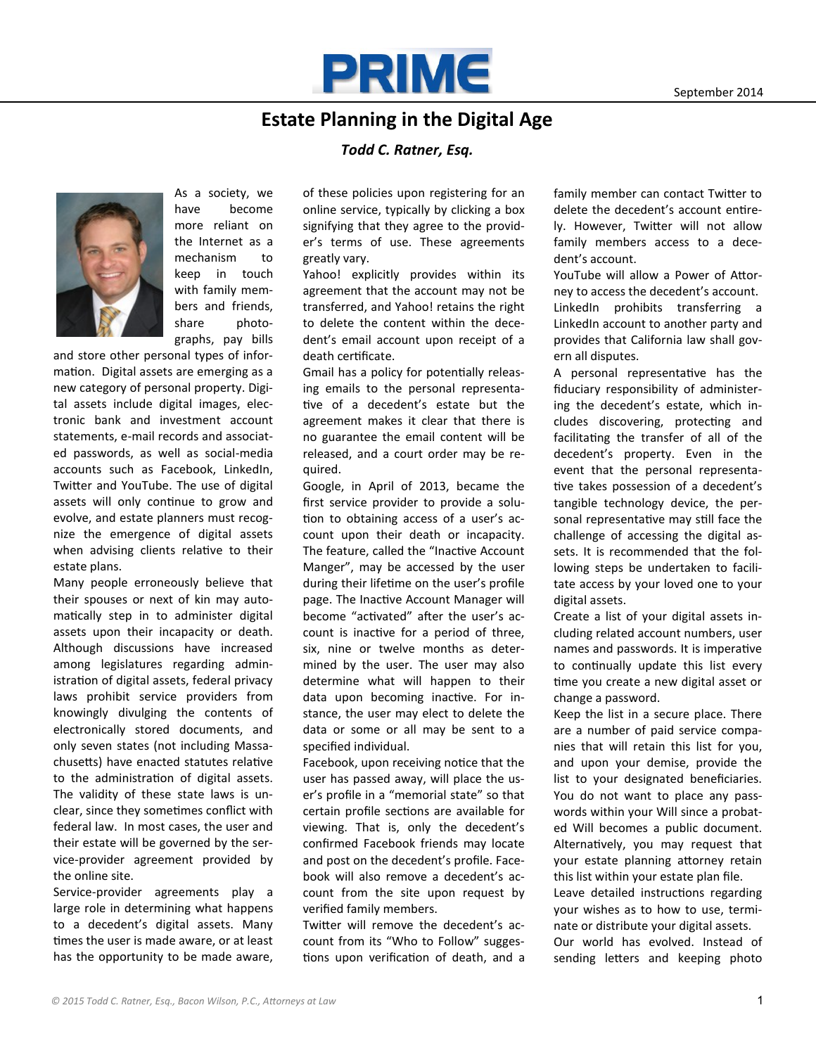

## **Estate Planning in the Digital Age**

## *Todd C. Ratner, Esq.*



As a society, we have become more reliant on the Internet as a mechanism to keep in touch with family members and friends, share photographs, pay bills

and store other personal types of information. Digital assets are emerging as a new category of personal property. Digital assets include digital images, electronic bank and investment account statements, e-mail records and associated passwords, as well as social-media accounts such as Facebook, LinkedIn, Twitter and YouTube. The use of digital assets will only continue to grow and evolve, and estate planners must recognize the emergence of digital assets when advising clients relative to their estate plans.

Many people erroneously believe that their spouses or next of kin may automatically step in to administer digital assets upon their incapacity or death. Although discussions have increased among legislatures regarding administration of digital assets, federal privacy laws prohibit service providers from knowingly divulging the contents of electronically stored documents, and only seven states (not including Massachusetts) have enacted statutes relative to the administration of digital assets. The validity of these state laws is unclear, since they sometimes conflict with federal law. In most cases, the user and their estate will be governed by the service-provider agreement provided by the online site.

Service-provider agreements play a large role in determining what happens to a decedent's digital assets. Many times the user is made aware, or at least has the opportunity to be made aware,

of these policies upon registering for an online service, typically by clicking a box signifying that they agree to the provider's terms of use. These agreements greatly vary.

Yahoo! explicitly provides within its agreement that the account may not be transferred, and Yahoo! retains the right to delete the content within the decedent's email account upon receipt of a death certificate.

Gmail has a policy for potentially releasing emails to the personal representative of a decedent's estate but the agreement makes it clear that there is no guarantee the email content will be released, and a court order may be required.

Google, in April of 2013, became the first service provider to provide a solution to obtaining access of a user's account upon their death or incapacity. The feature, called the "Inactive Account Manger", may be accessed by the user during their lifetime on the user's profile page. The Inactive Account Manager will become "activated" after the user's account is inactive for a period of three, six, nine or twelve months as determined by the user. The user may also determine what will happen to their data upon becoming inactive. For instance, the user may elect to delete the data or some or all may be sent to a specified individual.

Facebook, upon receiving notice that the user has passed away, will place the user's profile in a "memorial state" so that certain profile sections are available for viewing. That is, only the decedent's confirmed Facebook friends may locate and post on the decedent's profile. Facebook will also remove a decedent's account from the site upon request by verified family members.

Twitter will remove the decedent's account from its "Who to Follow" suggestions upon verification of death, and a family member can contact Twitter to delete the decedent's account entirely. However, Twitter will not allow family members access to a decedent's account.

YouTube will allow a Power of Attorney to access the decedent's account. LinkedIn prohibits transferring a LinkedIn account to another party and provides that California law shall govern all disputes.

A personal representative has the fiduciary responsibility of administering the decedent's estate, which includes discovering, protecting and facilitating the transfer of all of the decedent's property. Even in the event that the personal representative takes possession of a decedent's tangible technology device, the personal representative may still face the challenge of accessing the digital assets. It is recommended that the following steps be undertaken to facilitate access by your loved one to your digital assets.

Create a list of your digital assets including related account numbers, user names and passwords. It is imperative to continually update this list every time you create a new digital asset or change a password.

Keep the list in a secure place. There are a number of paid service companies that will retain this list for you, and upon your demise, provide the list to your designated beneficiaries. You do not want to place any passwords within your Will since a probated Will becomes a public document. Alternatively, you may request that your estate planning attorney retain this list within your estate plan file.

Leave detailed instructions regarding your wishes as to how to use, terminate or distribute your digital assets. Our world has evolved. Instead of sending letters and keeping photo